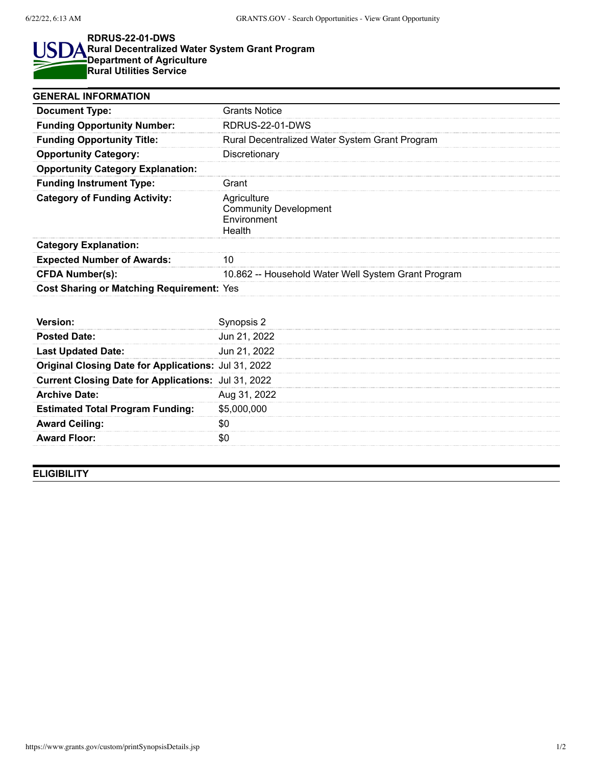## **RDRUS-22-01-DWS** S **Rural Decentralized Water System Grant Program** ∆ **Department of Agriculture Rural Utilities Service**

| <b>GENERAL INFORMATION</b>                           |                                                                      |
|------------------------------------------------------|----------------------------------------------------------------------|
| <b>Document Type:</b>                                | <b>Grants Notice</b>                                                 |
| <b>Funding Opportunity Number:</b>                   | <b>RDRUS-22-01-DWS</b>                                               |
| <b>Funding Opportunity Title:</b>                    | Rural Decentralized Water System Grant Program                       |
| <b>Opportunity Category:</b>                         | Discretionary                                                        |
| <b>Opportunity Category Explanation:</b>             |                                                                      |
| <b>Funding Instrument Type:</b>                      | Grant                                                                |
| <b>Category of Funding Activity:</b>                 | Agriculture<br><b>Community Development</b><br>Environment<br>Health |
| <b>Category Explanation:</b>                         |                                                                      |
| <b>Expected Number of Awards:</b>                    | 10                                                                   |
| <b>CFDA Number(s):</b>                               | 10.862 -- Household Water Well System Grant Program                  |
| <b>Cost Sharing or Matching Requirement: Yes</b>     |                                                                      |
|                                                      |                                                                      |
| Version:                                             | Synopsis 2                                                           |
| <b>Posted Date:</b>                                  | Jun 21, 2022                                                         |
| <b>Last Updated Date:</b>                            | Jun 21, 2022                                                         |
| Original Closing Date for Applications: Jul 31, 2022 |                                                                      |
| Current Closing Date for Applications: Jul 31, 2022  |                                                                      |
| <b>Archive Date:</b>                                 | Aug 31, 2022                                                         |
| <b>Estimated Total Program Funding:</b>              | \$5,000,000                                                          |
| <b>Award Ceiling:</b>                                | \$0                                                                  |
| <b>Award Floor:</b>                                  | \$0                                                                  |
|                                                      |                                                                      |

**ELIGIBILITY**